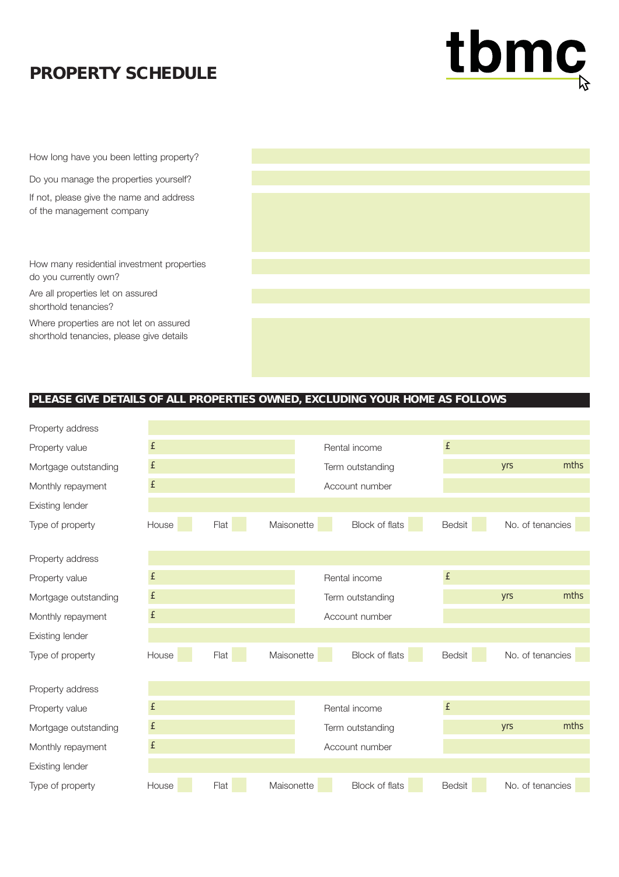## **PROPERTY SCHEDULE**



How long have you been letting property?

Do you manage the properties yourself?

If not, please give the name and address of the management company

How many residential investment properties do you currently own?

Are all properties let on assured shorthold tenancies?

Where properties are not let on assured shorthold tenancies, please give details

## **PLEASE GIVE DETAILS OF ALL PROPERTIES OWNED, EXCLUDING YOUR HOME AS FOLLOWS**